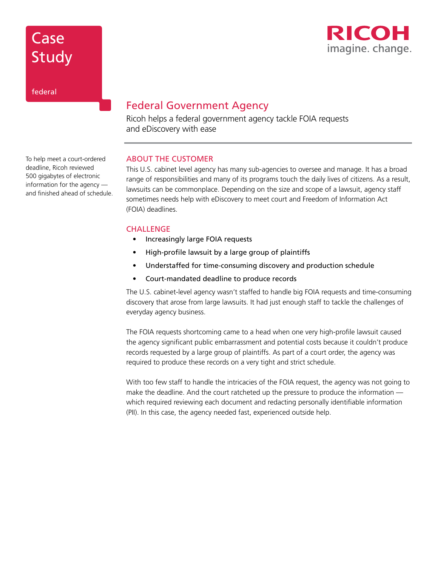

# **Case** Study

federal

## Federal Government Agency

Ricoh helps a federal government agency tackle FOIA requests and eDiscovery with ease

## ABOUT THE CUSTOMER

This U.S. cabinet level agency has many sub-agencies to oversee and manage. It has a broad range of responsibilities and many of its programs touch the daily lives of citizens. As a result, lawsuits can be commonplace. Depending on the size and scope of a lawsuit, agency staff sometimes needs help with eDiscovery to meet court and Freedom of Information Act (FOIA) deadlines.

## **CHALLENGE**

- Increasingly large FOIA requests
- High-profile lawsuit by a large group of plaintiffs
- Understaffed for time-consuming discovery and production schedule
- Court-mandated deadline to produce records

The U.S. cabinet-level agency wasn't staffed to handle big FOIA requests and time-consuming discovery that arose from large lawsuits. It had just enough staff to tackle the challenges of everyday agency business.

The FOIA requests shortcoming came to a head when one very high-profile lawsuit caused the agency significant public embarrassment and potential costs because it couldn't produce records requested by a large group of plaintiffs. As part of a court order, the agency was required to produce these records on a very tight and strict schedule.

With too few staff to handle the intricacies of the FOIA request, the agency was not going to make the deadline. And the court ratcheted up the pressure to produce the information which required reviewing each document and redacting personally identifiable information (PII). In this case, the agency needed fast, experienced outside help.

To help meet a court-ordered deadline, Ricoh reviewed 500 gigabytes of electronic information for the agency and finished ahead of schedule.